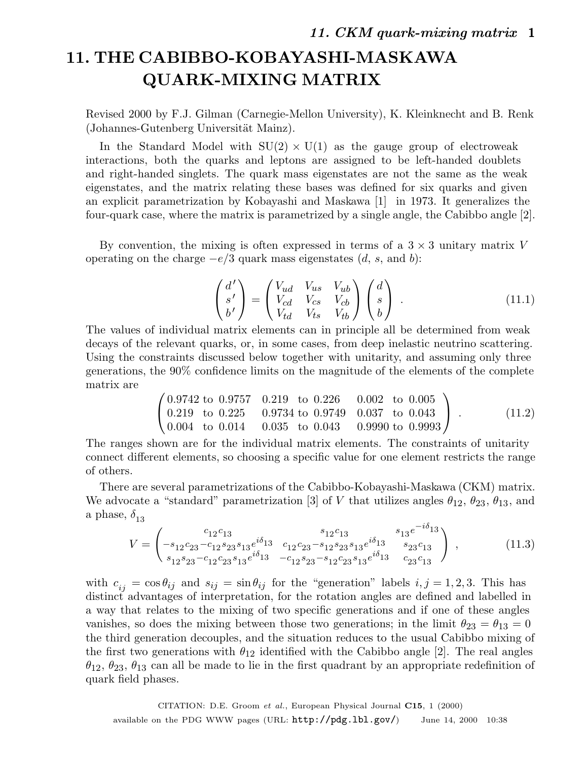# **11. THE CABIBBO-KOBAYASHI-MASKAWA QUARK-MIXING MATRIX**

Revised 2000 by F.J. Gilman (Carnegie-Mellon University), K. Kleinknecht and B. Renk (Johannes-Gutenberg Universität Mainz).

In the Standard Model with  $SU(2) \times U(1)$  as the gauge group of electroweak interactions, both the quarks and leptons are assigned to be left-handed doublets and right-handed singlets. The quark mass eigenstates are not the same as the weak eigenstates, and the matrix relating these bases was defined for six quarks and given an explicit parametrization by Kobayashi and Maskawa [1] in 1973. It generalizes the four-quark case, where the matrix is parametrized by a single angle, the Cabibbo angle [2].

By convention, the mixing is often expressed in terms of a  $3 \times 3$  unitary matrix V operating on the charge  $-e/3$  quark mass eigenstates  $(d, s, \text{ and } b)$ :

$$
\begin{pmatrix} d' \\ s' \\ b' \end{pmatrix} = \begin{pmatrix} V_{ud} & V_{us} & V_{ub} \\ V_{cd} & V_{cs} & V_{cb} \\ V_{td} & V_{ts} & V_{tb} \end{pmatrix} \begin{pmatrix} d \\ s \\ b \end{pmatrix} . \tag{11.1}
$$

The values of individual matrix elements can in principle all be determined from weak decays of the relevant quarks, or, in some cases, from deep inelastic neutrino scattering. Using the constraints discussed below together with unitarity, and assuming only three generations, the 90% confidence limits on the magnitude of the elements of the complete matrix are

$$
\begin{pmatrix}\n0.9742 \text{ to } 0.9757 & 0.219 \text{ to } 0.226 & 0.002 \text{ to } 0.005 \\
0.219 \text{ to } 0.225 & 0.9734 \text{ to } 0.9749 & 0.037 \text{ to } 0.043 \\
0.004 \text{ to } 0.014 & 0.035 \text{ to } 0.043 & 0.9990 \text{ to } 0.9993\n\end{pmatrix}.
$$
\n(11.2)

The ranges shown are for the individual matrix elements. The constraints of unitarity connect different elements, so choosing a specific value for one element restricts the range of others.

There are several parametrizations of the Cabibbo-Kobayashi-Maskawa (CKM) matrix. We advocate a "standard" parametrization [3] of V that utilizes angles  $\theta_{12}$ ,  $\theta_{23}$ ,  $\theta_{13}$ , and a phase,  $\delta_{13}$ 

$$
V = \begin{pmatrix} c_{12}c_{13} & s_{12}c_{13} & s_{13}e^{-i\delta_{13}}\\ -s_{12}c_{23} - c_{12}s_{23}s_{13}e^{i\delta_{13}} & c_{12}c_{23} - s_{12}s_{23}s_{13}e^{i\delta_{13}} & s_{23}c_{13} \\ s_{12}s_{23} - c_{12}c_{23}s_{13}e^{i\delta_{13}} & -c_{12}s_{23} - s_{12}c_{23}s_{13}e^{i\delta_{13}} & c_{23}c_{13} \end{pmatrix},
$$
(11.3)

with  $c_{ij} = \cos \theta_{ij}$  and  $s_{ij} = \sin \theta_{ij}$  for the "generation" labels  $i, j = 1, 2, 3$ . This has distinct advantages of interpretation, for the rotation angles are defined and labelled in a way that relates to the mixing of two specific generations and if one of these angles vanishes, so does the mixing between those two generations; in the limit  $\theta_{23} = \theta_{13} = 0$ the third generation decouples, and the situation reduces to the usual Cabibbo mixing of the first two generations with  $\theta_{12}$  identified with the Cabibbo angle [2]. The real angles  $\theta_{12}, \theta_{23}, \theta_{13}$  can all be made to lie in the first quadrant by an appropriate redefinition of quark field phases.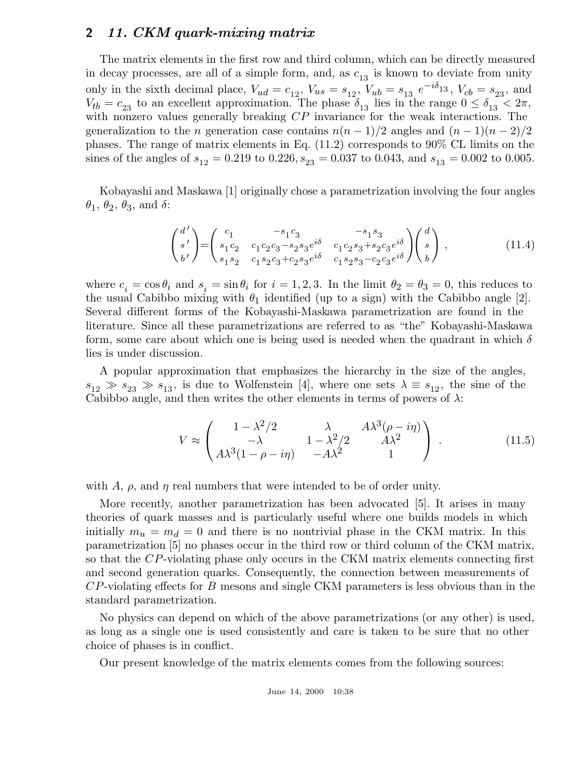The matrix elements in the first row and third column, which can be directly measured in decay processes, are all of a simple form, and, as  $c_{13}$  is known to deviate from unity only in the sixth decimal place,  $V_{ud} = c_{12}$ ,  $V_{us} = s_{12}$ ,  $V_{ub} = s_{13} e^{-i\delta_{13}}$ ,  $V_{cb} = s_{23}$ , and  $V_{tb} = c_{23}$  to an excellent approximation. The phase  $\delta_{13}$  lies in the range  $0 \le \delta_{13} < 2\pi$ , with nonzero values generally breaking  $\mathbb{CP}$  invariance for the weak interactions. The generalization to the n generation case contains  $n(n-1)/2$  angles and  $(n-1)(n-2)/2$ phases. The range of matrix elements in Eq. (11.2) corresponds to 90% CL limits on the sines of the angles of  $s_{12} = 0.219$  to  $0.226$ ,  $s_{23} = 0.037$  to 0.043, and  $s_{13} = 0.002$  to 0.005.

Kobayashi and Maskawa [1] originally chose a parametrization involving the four angles  $\theta_1$ ,  $\theta_2$ ,  $\theta_3$ , and  $\delta$ :

$$
\begin{pmatrix} d' \\ s' \\ b' \end{pmatrix} = \begin{pmatrix} c_1 & -s_1 c_3 & -s_1 s_3 \\ s_1 c_2 & c_1 c_2 c_3 - s_2 s_3 e^{i\delta} & c_1 c_2 s_3 + s_2 c_3 e^{i\delta} \\ s_1 s_2 & c_1 s_2 c_3 + c_2 s_3 e^{i\delta} & c_1 s_2 s_3 - c_2 c_3 e^{i\delta} \end{pmatrix} \begin{pmatrix} d \\ s \\ b \end{pmatrix},
$$
\n(11.4)

where  $c_i = \cos \theta_i$  and  $s_i = \sin \theta_i$  for  $i = 1, 2, 3$ . In the limit  $\theta_2 = \theta_3 = 0$ , this reduces to the usual Cabibbo mixing with  $\theta_1$  identified (up to a sign) with the Cabibbo angle [2]. Several different forms of the Kobayashi-Maskawa parametrization are found in the literature. Since all these parametrizations are referred to as "the" Kobayashi-Maskawa form, some care about which one is being used is needed when the quadrant in which  $\delta$ lies is under discussion.

A popular approximation that emphasizes the hierarchy in the size of the angles,  $s_{12} \gg s_{23} \gg s_{13}$ , is due to Wolfenstein [4], where one sets  $\lambda \equiv s_{12}$ , the sine of the Cabibbo angle, and then writes the other elements in terms of powers of  $\lambda$ :

$$
V \approx \begin{pmatrix} 1 - \lambda^2/2 & \lambda & A\lambda^3(\rho - i\eta) \\ -\lambda & 1 - \lambda^2/2 & A\lambda^2 \\ A\lambda^3(1 - \rho - i\eta) & -A\lambda^2 & 1 \end{pmatrix} .
$$
 (11.5)

with A,  $\rho$ , and  $\eta$  real numbers that were intended to be of order unity.

More recently, another parametrization has been advocated [5]. It arises in many theories of quark masses and is particularly useful where one builds models in which initially  $m_u = m_d = 0$  and there is no nontrivial phase in the CKM matrix. In this parametrization [5] no phases occur in the third row or third column of the CKM matrix, so that the CP-violating phase only occurs in the CKM matrix elements connecting first and second generation quarks. Consequently, the connection between measurements of  $CP$ -violating effects for B mesons and single CKM parameters is less obvious than in the standard parametrization.

No physics can depend on which of the above parametrizations (or any other) is used, as long as a single one is used consistently and care is taken to be sure that no other choice of phases is in conflict.

Our present knowledge of the matrix elements comes from the following sources: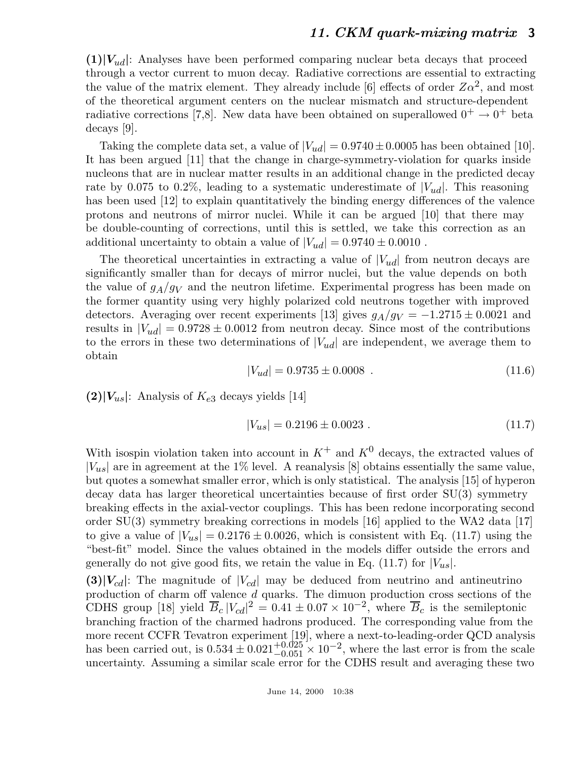$(1)|V_{ud}|$ : Analyses have been performed comparing nuclear beta decays that proceed through a vector current to muon decay. Radiative corrections are essential to extracting the value of the matrix element. They already include [6] effects of order  $Z\alpha^2$ , and most of the theoretical argument centers on the nuclear mismatch and structure-dependent radiative corrections [7,8]. New data have been obtained on superallowed  $0^+ \rightarrow 0^+$  beta decays [9].

Taking the complete data set, a value of  $|V_{ud}| = 0.9740 \pm 0.0005$  has been obtained [10]. It has been argued [11] that the change in charge-symmetry-violation for quarks inside nucleons that are in nuclear matter results in an additional change in the predicted decay rate by 0.075 to 0.2%, leading to a systematic underestimate of  $|V_{ud}|$ . This reasoning has been used [12] to explain quantitatively the binding energy differences of the valence protons and neutrons of mirror nuclei. While it can be argued [10] that there may be double-counting of corrections, until this is settled, we take this correction as an additional uncertainty to obtain a value of  $|V_{ud}| = 0.9740 \pm 0.0010$ .

The theoretical uncertainties in extracting a value of  $|V_{ud}|$  from neutron decays are significantly smaller than for decays of mirror nuclei, but the value depends on both the value of  $g_A/g_V$  and the neutron lifetime. Experimental progress has been made on the former quantity using very highly polarized cold neutrons together with improved detectors. Averaging over recent experiments [13] gives  $g_A/g_V = -1.2715 \pm 0.0021$  and results in  $|V_{ud}| = 0.9728 \pm 0.0012$  from neutron decay. Since most of the contributions to the errors in these two determinations of  $|V_{ud}|$  are independent, we average them to obtain

$$
|V_{ud}| = 0.9735 \pm 0.0008 \tag{11.6}
$$

 $(2)|V_{us}|$ : Analysis of  $K_{e3}$  decays yields [14]

$$
|V_{us}| = 0.2196 \pm 0.0023 . \tag{11.7}
$$

With isospin violation taken into account in  $K^+$  and  $K^0$  decays, the extracted values of  $|V_{us}|$  are in agreement at the 1% level. A reanalysis [8] obtains essentially the same value, but quotes a somewhat smaller error, which is only statistical. The analysis [15] of hyperon decay data has larger theoretical uncertainties because of first order SU(3) symmetry breaking effects in the axial-vector couplings. This has been redone incorporating second order SU(3) symmetry breaking corrections in models [16] applied to the WA2 data [17] to give a value of  $|V_{us}| = 0.2176 \pm 0.0026$ , which is consistent with Eq. (11.7) using the "best-fit" model. Since the values obtained in the models differ outside the errors and generally do not give good fits, we retain the value in Eq. (11.7) for  $|V_{us}|$ .

 $(3)|V_{cd}|$ : The magnitude of  $|V_{cd}|$  may be deduced from neutrino and antineutrino production of charm off valence d quarks. The dimuon production cross sections of the CDHS group [18] yield  $\overline{B}_c |V_{cd}|^2 = 0.41 \pm 0.07 \times 10^{-2}$ , where  $\overline{B}_c$  is the semileptonic branching fraction of the charmed hadrons produced. The corresponding value from the more recent CCFR Tevatron experiment [19], where a next-to-leading-order QCD analysis has been carried out, is  $0.534 \pm 0.021^{+0.025}_{-0.051} \times 10^{-2}$ , where the last error is from the scale uncertainty. Assuming a similar scale error for the CDHS result and averaging these two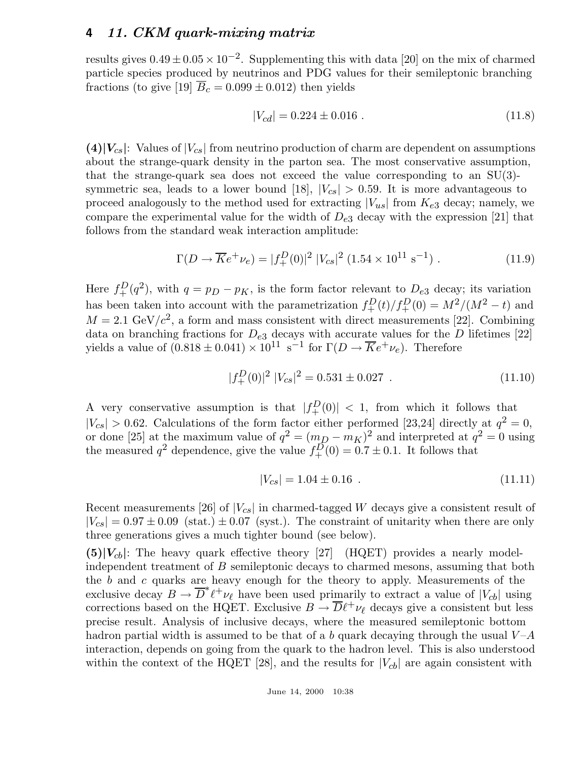results gives  $0.49 \pm 0.05 \times 10^{-2}$ . Supplementing this with data [20] on the mix of charmed particle species produced by neutrinos and PDG values for their semileptonic branching fractions (to give [19]  $\overline{B}_c = 0.099 \pm 0.012$ ) then yields

$$
|V_{cd}| = 0.224 \pm 0.016 \tag{11.8}
$$

 $(4)|V_{cs}|$ : Values of  $|V_{cs}|$  from neutrino production of charm are dependent on assumptions about the strange-quark density in the parton sea. The most conservative assumption, that the strange-quark sea does not exceed the value corresponding to an SU(3) symmetric sea, leads to a lower bound [18],  $|V_{cs}| > 0.59$ . It is more advantageous to proceed analogously to the method used for extracting  $|V_{us}|$  from  $K_{e3}$  decay; namely, we compare the experimental value for the width of  $D_{e3}$  decay with the expression [21] that follows from the standard weak interaction amplitude:

$$
\Gamma(D \to \overline{K}e^+\nu_e) = |f_+^D(0)|^2 |V_{cs}|^2 (1.54 \times 10^{11} \text{ s}^{-1}). \tag{11.9}
$$

Here  $f_{+}^{D}(q^2)$ , with  $q = p_D - p_K$ , is the form factor relevant to  $D_{e3}$  decay; its variation has been taken into account with the parametrization  $f_{+}^{D}(t)/f_{+}^{D}(0) = M^{2}/(M^{2} - t)$  and  $M = 2.1 \text{ GeV}/c^2$ , a form and mass consistent with direct measurements [22]. Combining data on branching fractions for  $D_{e3}$  decays with accurate values for the D lifetimes [22] yields a value of  $(0.818 \pm 0.041) \times 10^{11} \text{ s}^{-1}$  for  $\Gamma(D \to \overline{K}e^+ \nu_e)$ . Therefore

$$
|f_+^D(0)|^2 |V_{cs}|^2 = 0.531 \pm 0.027 . \qquad (11.10)
$$

A very conservative assumption is that  $|f_+^D(0)| < 1$ , from which it follows that  $|V_{cs}| > 0.62$ . Calculations of the form factor either performed [23,24] directly at  $q^2 = 0$ , or done [25] at the maximum value of  $q^2 = (m_D - m_K)^2$  and interpreted at  $q^2 = 0$  using the measured  $q^2$  dependence, give the value  $f_{+}^{D}(0) = 0.7 \pm 0.1$ . It follows that

$$
|V_{cs}| = 1.04 \pm 0.16 \tag{11.11}
$$

Recent measurements [26] of  $|V_{cs}|$  in charmed-tagged W decays give a consistent result of  $|V_{cs}| = 0.97 \pm 0.09$  (stat.)  $\pm 0.07$  (syst.). The constraint of unitarity when there are only three generations gives a much tighter bound (see below).

 $(5)|V_{cb}|$ : The heavy quark effective theory [27] (HQET) provides a nearly modelindependent treatment of B semileptonic decays to charmed mesons, assuming that both the b and c quarks are heavy enough for the theory to apply. Measurements of the exclusive decay  $B \to \overline{D}^* \ell^+ \nu_\ell$  have been used primarily to extract a value of  $|V_{cb}|$  using corrections based on the HQET. Exclusive  $B \to \overline{D} \ell^+ \nu_\ell$  decays give a consistent but less precise result. Analysis of inclusive decays, where the measured semileptonic bottom hadron partial width is assumed to be that of a b quark decaying through the usual  $V-A$ interaction, depends on going from the quark to the hadron level. This is also understood within the context of the HQET [28], and the results for  $|V_{cb}|$  are again consistent with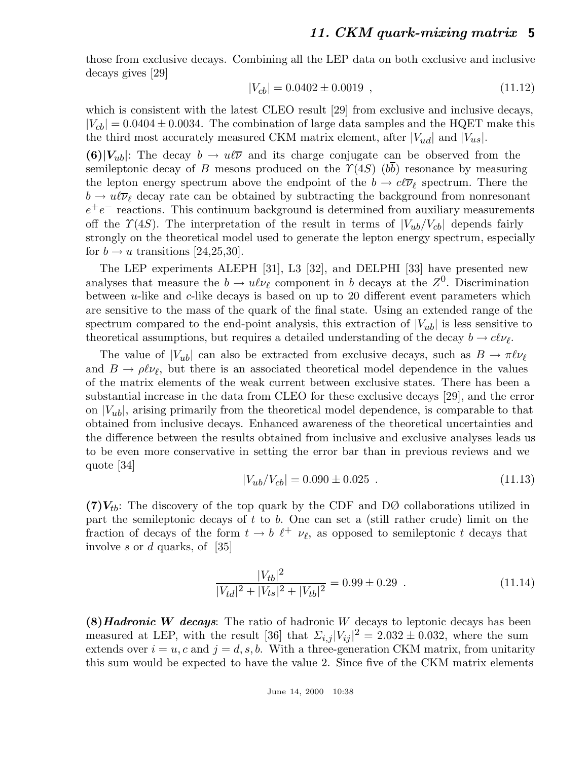those from exclusive decays. Combining all the LEP data on both exclusive and inclusive decays gives [29]

$$
|V_{cb}| = 0.0402 \pm 0.0019 , \qquad (11.12)
$$

which is consistent with the latest CLEO result [29] from exclusive and inclusive decays,  $|V_{cb}| = 0.0404 \pm 0.0034$ . The combination of large data samples and the HQET make this the third most accurately measured CKM matrix element, after  $|V_{ud}|$  and  $|V_{us}|$ .

**(6)** $|V_{ub}|$ : The decay  $b \to u\ell\overline{\nu}$  and its charge conjugate can be observed from the semileptonic decay of B mesons produced on the  $\Upsilon(4S)$  ( $b\overline{b}$ ) resonance by measuring the lepton energy spectrum above the endpoint of the  $b \to c\ell\overline{\nu}_\ell$  spectrum. There the  $b \to u \ell \overline{\nu}_{\ell}$  decay rate can be obtained by subtracting the background from nonresonant  $e^+e^-$  reactions. This continuum background is determined from auxiliary measurements off the  $\Upsilon(4S)$ . The interpretation of the result in terms of  $|V_{ub}/V_{cb}|$  depends fairly strongly on the theoretical model used to generate the lepton energy spectrum, especially for  $b \rightarrow u$  transitions [24,25,30].

The LEP experiments ALEPH [31], L3 [32], and DELPHI [33] have presented new analyses that measure the  $b \to u \ell \nu_{\ell}$  component in b decays at the  $Z^0$ . Discrimination between  $u$ -like and  $c$ -like decays is based on up to 20 different event parameters which are sensitive to the mass of the quark of the final state. Using an extended range of the spectrum compared to the end-point analysis, this extraction of  $|V_{ub}|$  is less sensitive to theoretical assumptions, but requires a detailed understanding of the decay  $b \to c\ell\nu_{\ell}$ .

The value of  $|V_{ub}|$  can also be extracted from exclusive decays, such as  $B \to \pi \ell \nu_{\ell}$ and  $B \to \rho \ell \nu_{\ell}$ , but there is an associated theoretical model dependence in the values of the matrix elements of the weak current between exclusive states. There has been a substantial increase in the data from CLEO for these exclusive decays [29], and the error on  $|V_{ub}|$ , arising primarily from the theoretical model dependence, is comparable to that obtained from inclusive decays. Enhanced awareness of the theoretical uncertainties and the difference between the results obtained from inclusive and exclusive analyses leads us to be even more conservative in setting the error bar than in previous reviews and we quote [34]

$$
|V_{ub}/V_{cb}| = 0.090 \pm 0.025 \tag{11.13}
$$

 $(7)V_{tb}$ : The discovery of the top quark by the CDF and DØ collaborations utilized in part the semileptonic decays of  $t$  to  $b$ . One can set a (still rather crude) limit on the fraction of decays of the form  $t \to b \ell^+ \nu_\ell$ , as opposed to semileptonic t decays that involve s or d quarks, of [35]

$$
\frac{|V_{tb}|^2}{|V_{td}|^2 + |V_{ts}|^2 + |V_{tb}|^2} = 0.99 \pm 0.29
$$
 (11.14)

**(8)***Hadronic W decays*: The ratio of hadronic W decays to leptonic decays has been measured at LEP, with the result [36] that  $\Sigma_{i,j} |V_{ij}|^2 = 2.032 \pm 0.032$ , where the sum extends over  $i = u, c$  and  $j = d, s, b$ . With a three-generation CKM matrix, from unitarity this sum would be expected to have the value 2. Since five of the CKM matrix elements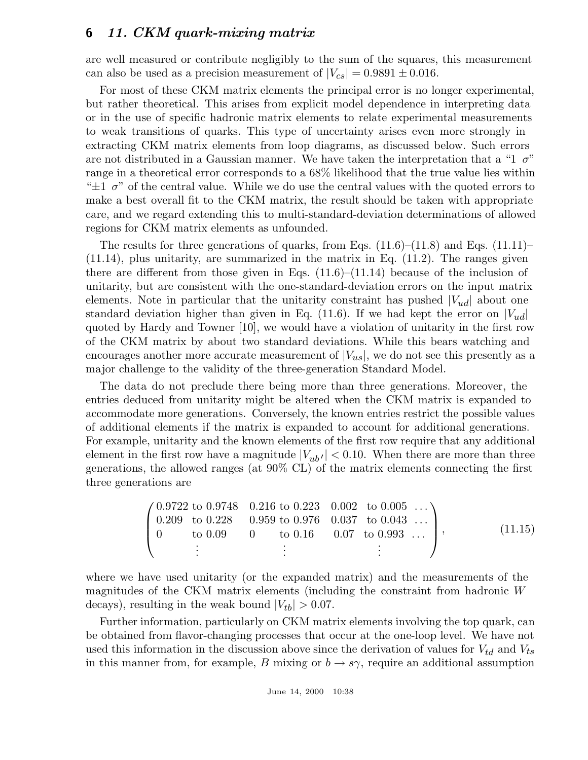are well measured or contribute negligibly to the sum of the squares, this measurement can also be used as a precision measurement of  $|V_{cs}| = 0.9891 \pm 0.016$ .

For most of these CKM matrix elements the principal error is no longer experimental, but rather theoretical. This arises from explicit model dependence in interpreting data or in the use of specific hadronic matrix elements to relate experimental measurements to weak transitions of quarks. This type of uncertainty arises even more strongly in extracting CKM matrix elements from loop diagrams, as discussed below. Such errors are not distributed in a Gaussian manner. We have taken the interpretation that a "1  $\sigma$ " range in a theoretical error corresponds to a 68% likelihood that the true value lies within " $\pm 1$   $\sigma$ " of the central value. While we do use the central values with the quoted errors to make a best overall fit to the CKM matrix, the result should be taken with appropriate care, and we regard extending this to multi-standard-deviation determinations of allowed regions for CKM matrix elements as unfounded.

The results for three generations of quarks, from Eqs.  $(11.6)$ – $(11.8)$  and Eqs.  $(11.11)$ – (11.14), plus unitarity, are summarized in the matrix in Eq. (11.2). The ranges given there are different from those given in Eqs.  $(11.6)$ – $(11.14)$  because of the inclusion of unitarity, but are consistent with the one-standard-deviation errors on the input matrix elements. Note in particular that the unitarity constraint has pushed  $|V_{ud}|$  about one standard deviation higher than given in Eq. (11.6). If we had kept the error on  $|V_{ud}|$ quoted by Hardy and Towner [10], we would have a violation of unitarity in the first row of the CKM matrix by about two standard deviations. While this bears watching and encourages another more accurate measurement of  $|V_{us}|$ , we do not see this presently as a major challenge to the validity of the three-generation Standard Model.

The data do not preclude there being more than three generations. Moreover, the entries deduced from unitarity might be altered when the CKM matrix is expanded to accommodate more generations. Conversely, the known entries restrict the possible values of additional elements if the matrix is expanded to account for additional generations. For example, unitarity and the known elements of the first row require that any additional element in the first row have a magnitude  $|V_{ub'}|$  < 0.10. When there are more than three generations, the allowed ranges (at 90% CL) of the matrix elements connecting the first three generations are

$$
\begin{pmatrix}\n0.9722 \text{ to } 0.9748 & 0.216 \text{ to } 0.223 & 0.002 & \text{to } 0.005 & \dots \\
0.209 \text{ to } 0.228 & 0.959 \text{ to } 0.976 & 0.037 & \text{to } 0.043 & \dots \\
0 \text{ to } 0.09 & 0 & \text{to } 0.16 & 0.07 & \text{to } 0.993 & \dots \\
\vdots & \vdots & \vdots & \vdots & \vdots\n\end{pmatrix},\n\tag{11.15}
$$

where we have used unitarity (or the expanded matrix) and the measurements of the magnitudes of the CKM matrix elements (including the constraint from hadronic W decays), resulting in the weak bound  $|V_{tb}| > 0.07$ .

Further information, particularly on CKM matrix elements involving the top quark, can be obtained from flavor-changing processes that occur at the one-loop level. We have not used this information in the discussion above since the derivation of values for  $V_{td}$  and  $V_{ts}$ in this manner from, for example, B mixing or  $b \to s\gamma$ , require an additional assumption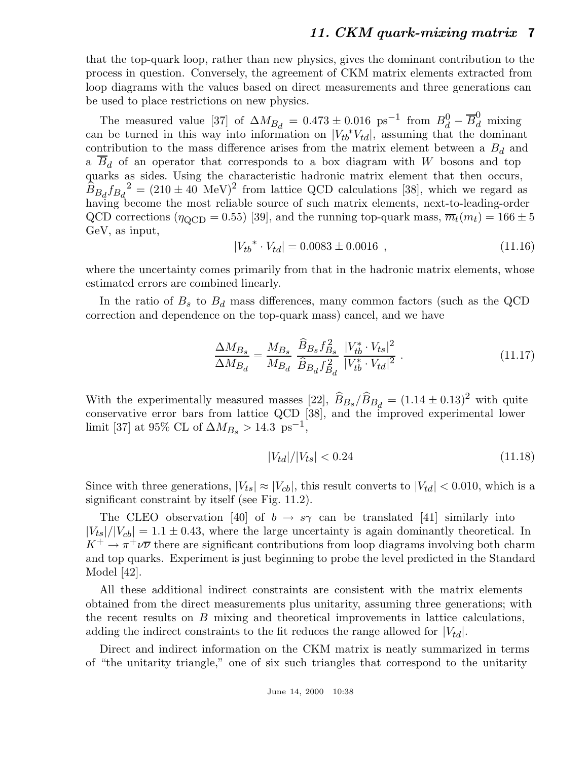that the top-quark loop, rather than new physics, gives the dominant contribution to the process in question. Conversely, the agreement of CKM matrix elements extracted from loop diagrams with the values based on direct measurements and three generations can be used to place restrictions on new physics.

The measured value [37] of  $\Delta M_{B_d} = 0.473 \pm 0.016$  ps<sup>-1</sup> from  $B_d^0 - \overline{B}_d^0$  mixing can be turned in this way into information on  $|V_{tb}^*V_{td}|$ , assuming that the dominant contribution to the mass difference arises from the matrix element between a  $B_d$  and a  $B_d$  of an operator that corresponds to a box diagram with W bosons and top quarks as sides. Using the characteristic hadronic matrix element that then occurs,  $\widehat{B}_{B_d} f_{B_d}^2 = (210 \pm 40 \text{ MeV})^2$  from lattice QCD calculations [38], which we regard as having become the most reliable source of such matrix elements, next-to-leading-order QCD corrections ( $\eta_{\text{QCD}} = 0.55$ ) [39], and the running top-quark mass,  $\overline{m}_t(m_t) = 166 \pm 5$ GeV, as input,

$$
|V_{tb}^* \cdot V_{td}| = 0.0083 \pm 0.0016 , \qquad (11.16)
$$

where the uncertainty comes primarily from that in the hadronic matrix elements, whose estimated errors are combined linearly.

In the ratio of  $B_s$  to  $B_d$  mass differences, many common factors (such as the QCD correction and dependence on the top-quark mass) cancel, and we have

$$
\frac{\Delta M_{Bs}}{\Delta M_{B_d}} = \frac{M_{Bs}}{M_{B_d}} \frac{\widehat{B}_{Bs} f_{Bs}^2}{\widehat{B}_{B_d} f_{B_d}^2} \frac{|V_{tb}^* \cdot V_{ts}|^2}{|V_{tb}^* \cdot V_{td}|^2} \,. \tag{11.17}
$$

With the experimentally measured masses [22],  $\widehat{B}_{Bs}/\widehat{B}_{Bd} = (1.14 \pm 0.13)^2$  with quite conservative error bars from lattice QCD [38], and the improved experimental lower limit [37] at 95% CL of  $\Delta M_{B_s} > 14.3 \text{ ps}^{-1}$ ,

$$
|V_{td}|/|V_{ts}| < 0.24\tag{11.18}
$$

Since with three generations,  $|V_{ts}| \approx |V_{cb}|$ , this result converts to  $|V_{td}| < 0.010$ , which is a significant constraint by itself (see Fig. 11.2).

The CLEO observation [40] of  $b \to s\gamma$  can be translated [41] similarly into  $|V_{ts}|/|V_{cb}| = 1.1 \pm 0.43$ , where the large uncertainty is again dominantly theoretical. In  $K^+ \to \pi^+ \nu \overline{\nu}$  there are significant contributions from loop diagrams involving both charm and top quarks. Experiment is just beginning to probe the level predicted in the Standard Model [42].

All these additional indirect constraints are consistent with the matrix elements obtained from the direct measurements plus unitarity, assuming three generations; with the recent results on B mixing and theoretical improvements in lattice calculations, adding the indirect constraints to the fit reduces the range allowed for  $|V_{td}|$ .

Direct and indirect information on the CKM matrix is neatly summarized in terms of "the unitarity triangle," one of six such triangles that correspond to the unitarity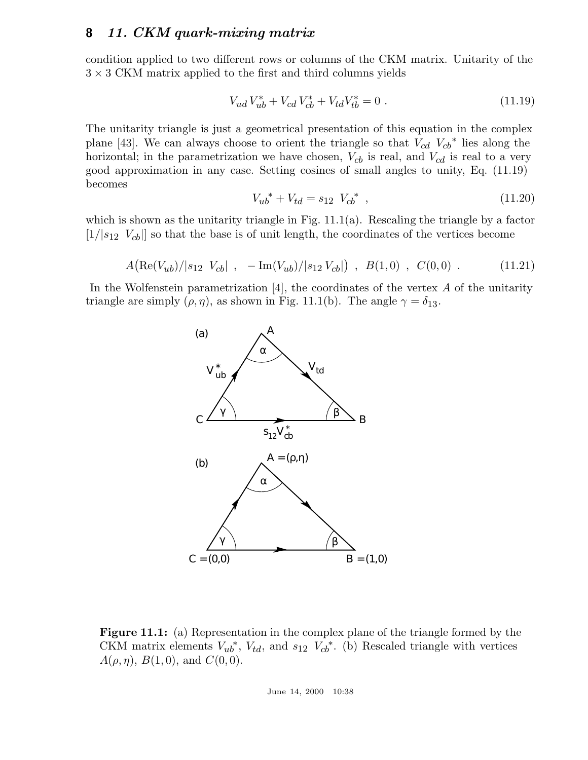condition applied to two different rows or columns of the CKM matrix. Unitarity of the  $3 \times 3$  CKM matrix applied to the first and third columns yields

$$
V_{ud}V_{ub}^* + V_{cd}V_{cb}^* + V_{td}V_{tb}^* = 0.
$$
\n(11.19)

The unitarity triangle is just a geometrical presentation of this equation in the complex plane [43]. We can always choose to orient the triangle so that  $V_{cd} V_{cb}^*$  lies along the horizontal; in the parametrization we have chosen,  $V_{cb}$  is real, and  $V_{cd}$  is real to a very good approximation in any case. Setting cosines of small angles to unity, Eq. (11.19) becomes

$$
V_{ub}^* + V_{td} = s_{12} V_{cb}^* , \t\t(11.20)
$$

which is shown as the unitarity triangle in Fig.  $11.1(a)$ . Rescaling the triangle by a factor  $[1/|s_{12} \ V_{cb}|]$  so that the base is of unit length, the coordinates of the vertices become

$$
A(\text{Re}(V_{ub})/|s_{12} \ V_{cb}| , -\text{Im}(V_{ub})/|s_{12} \ V_{cb}| ), B(1,0) , C(0,0) .
$$
 (11.21)

In the Wolfenstein parametrization  $[4]$ , the coordinates of the vertex A of the unitarity triangle are simply  $(\rho, \eta)$ , as shown in Fig. 11.1(b). The angle  $\gamma = \delta_{13}$ .



**Figure 11.1:** (a) Representation in the complex plane of the triangle formed by the CKM matrix elements  $V_{ub}^*$ ,  $V_{td}$ , and  $s_{12}$   $V_{cb}^*$ . (b) Rescaled triangle with vertices  $A(\rho, \eta)$ ,  $B(1, 0)$ , and  $C(0, 0)$ .

June 14, 2000 10:38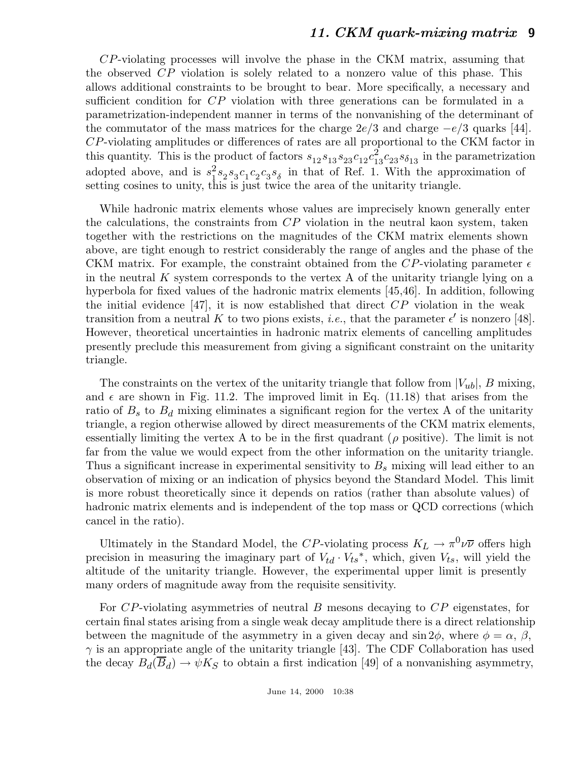CP-violating processes will involve the phase in the CKM matrix, assuming that the observed CP violation is solely related to a nonzero value of this phase. This allows additional constraints to be brought to bear. More specifically, a necessary and sufficient condition for CP violation with three generations can be formulated in a parametrization-independent manner in terms of the nonvanishing of the determinant of the commutator of the mass matrices for the charge  $2e/3$  and charge  $-e/3$  quarks [44]. CP-violating amplitudes or differences of rates are all proportional to the CKM factor in this quantity. This is the product of factors  $s_{12} s_{13} s_{23} c_{12} c_{13}^2 c_{23} s_{0} s_{13}$  in the parametrization adopted above, and is  $s_1^2 s_2 s_3 c_1 c_2 c_3 s_\delta$  in that of Ref. 1. With the approximation of setting cosines to unity, this is just twice the area of the unitarity triangle.

While hadronic matrix elements whose values are imprecisely known generally enter the calculations, the constraints from CP violation in the neutral kaon system, taken together with the restrictions on the magnitudes of the CKM matrix elements shown above, are tight enough to restrict considerably the range of angles and the phase of the CKM matrix. For example, the constraint obtained from the CP-violating parameter  $\epsilon$ in the neutral  $K$  system corresponds to the vertex  $A$  of the unitarity triangle lying on a hyperbola for fixed values of the hadronic matrix elements [45,46]. In addition, following the initial evidence [47], it is now established that direct  $\overline{CP}$  violation in the weak transition from a neutral K to two pions exists, *i.e.*, that the parameter  $\epsilon'$  is nonzero [48]. However, theoretical uncertainties in hadronic matrix elements of cancelling amplitudes presently preclude this measurement from giving a significant constraint on the unitarity triangle.

The constraints on the vertex of the unitarity triangle that follow from  $|V_{ub}|$ , B mixing, and  $\epsilon$  are shown in Fig. 11.2. The improved limit in Eq. (11.18) that arises from the ratio of  $B_s$  to  $B_d$  mixing eliminates a significant region for the vertex A of the unitarity triangle, a region otherwise allowed by direct measurements of the CKM matrix elements, essentially limiting the vertex A to be in the first quadrant ( $\rho$  positive). The limit is not far from the value we would expect from the other information on the unitarity triangle. Thus a significant increase in experimental sensitivity to  $B_s$  mixing will lead either to an observation of mixing or an indication of physics beyond the Standard Model. This limit is more robust theoretically since it depends on ratios (rather than absolute values) of hadronic matrix elements and is independent of the top mass or QCD corrections (which cancel in the ratio).

Ultimately in the Standard Model, the CP-violating process  $K_L \to \pi^0 \nu \overline{\nu}$  offers high precision in measuring the imaginary part of  $V_{td} \cdot V_{ts}^*$ , which, given  $V_{ts}$ , will yield the altitude of the unitarity triangle. However, the experimental upper limit is presently many orders of magnitude away from the requisite sensitivity.

For CP-violating asymmetries of neutral B mesons decaying to CP eigenstates, for certain final states arising from a single weak decay amplitude there is a direct relationship between the magnitude of the asymmetry in a given decay and  $\sin 2\phi$ , where  $\phi = \alpha$ ,  $\beta$ ,  $\gamma$  is an appropriate angle of the unitarity triangle [43]. The CDF Collaboration has used the decay  $B_d(B_d) \to \psi K_S$  to obtain a first indication [49] of a nonvanishing asymmetry,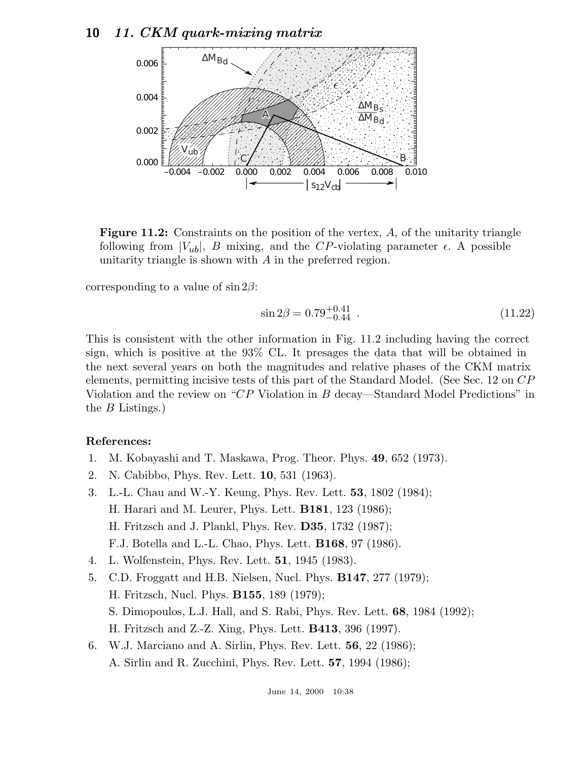

Figure 11.2: Constraints on the position of the vertex, A, of the unitarity triangle following from  $|V_{ub}|$ , B mixing, and the CP-violating parameter  $\epsilon$ . A possible unitarity triangle is shown with A in the preferred region.

corresponding to a value of  $\sin 2\beta$ :

$$
\sin 2\beta = 0.79^{+0.41}_{-0.44} \tag{11.22}
$$

This is consistent with the other information in Fig. 11.2 including having the correct sign, which is positive at the 93% CL. It presages the data that will be obtained in the next several years on both the magnitudes and relative phases of the CKM matrix elements, permitting incisive tests of this part of the Standard Model. (See Sec. 12 on CP Violation and the review on "CP Violation in B decay—Standard Model Predictions" in the B Listings.)

#### **References:**

- 1. M. Kobayashi and T. Maskawa, Prog. Theor. Phys. **49**, 652 (1973).
- 2. N. Cabibbo, Phys. Rev. Lett. **10**, 531 (1963).
- 3. L.-L. Chau and W.-Y. Keung, Phys. Rev. Lett. **53**, 1802 (1984); H. Harari and M. Leurer, Phys. Lett. **B181**, 123 (1986); H. Fritzsch and J. Plankl, Phys. Rev. **D35**, 1732 (1987); F.J. Botella and L.-L. Chao, Phys. Lett. **B168**, 97 (1986).
- 4. L. Wolfenstein, Phys. Rev. Lett. **51**, 1945 (1983).
- 5. C.D. Froggatt and H.B. Nielsen, Nucl. Phys. **B147**, 277 (1979); H. Fritzsch, Nucl. Phys. **B155**, 189 (1979); S. Dimopoulos, L.J. Hall, and S. Rabi, Phys. Rev. Lett. **68**, 1984 (1992); H. Fritzsch and Z.-Z. Xing, Phys. Lett. **B413**, 396 (1997). 6. W.J. Marciano and A. Sirlin, Phys. Rev. Lett. **56**, 22 (1986);
	- A. Sirlin and R. Zucchini, Phys. Rev. Lett. **57**, 1994 (1986);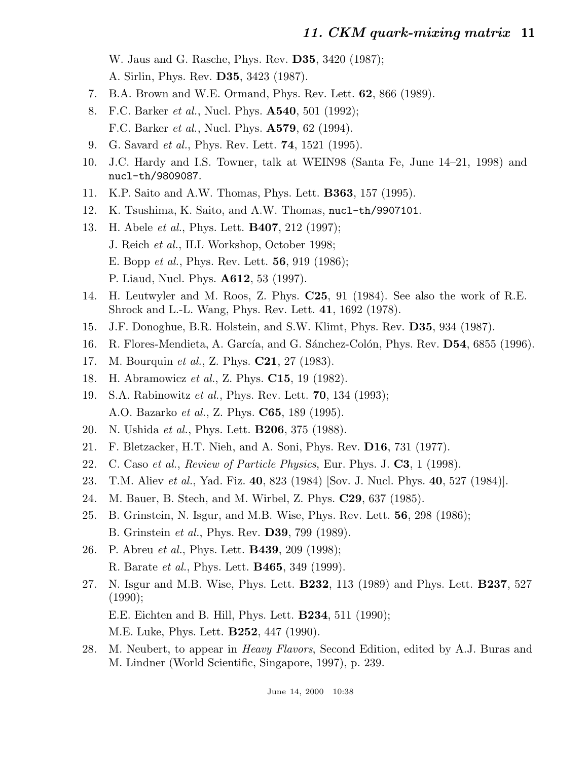W. Jaus and G. Rasche, Phys. Rev. **D35**, 3420 (1987);

A. Sirlin, Phys. Rev. **D35**, 3423 (1987).

- 7. B.A. Brown and W.E. Ormand, Phys. Rev. Lett. **62**, 866 (1989).
- 8. F.C. Barker et al., Nucl. Phys. **A540**, 501 (1992); F.C. Barker et al., Nucl. Phys. **A579**, 62 (1994).
- 9. G. Savard et al., Phys. Rev. Lett. **74**, 1521 (1995).
- 10. J.C. Hardy and I.S. Towner, talk at WEIN98 (Santa Fe, June 14–21, 1998) and nucl-th/9809087.
- 11. K.P. Saito and A.W. Thomas, Phys. Lett. **B363**, 157 (1995).
- 12. K. Tsushima, K. Saito, and A.W. Thomas, nucl-th/9907101.
- 13. H. Abele et al., Phys. Lett. **B407**, 212 (1997); J. Reich et al., ILL Workshop, October 1998; E. Bopp et al., Phys. Rev. Lett. **56**, 919 (1986); P. Liaud, Nucl. Phys. **A612**, 53 (1997).
- 14. H. Leutwyler and M. Roos, Z. Phys. **C25**, 91 (1984). See also the work of R.E. Shrock and L.-L. Wang, Phys. Rev. Lett. **41**, 1692 (1978).
- 15. J.F. Donoghue, B.R. Holstein, and S.W. Klimt, Phys. Rev. **D35**, 934 (1987).
- 16. R. Flores-Mendieta, A. García, and G. Sánchez-Colón, Phys. Rev. D54, 6855 (1996).
- 17. M. Bourquin et al., Z. Phys. **C21**, 27 (1983).
- 18. H. Abramowicz et al., Z. Phys. **C15**, 19 (1982).
- 19. S.A. Rabinowitz et al., Phys. Rev. Lett. **70**, 134 (1993); A.O. Bazarko et al., Z. Phys. **C65**, 189 (1995).
- 20. N. Ushida et al., Phys. Lett. **B206**, 375 (1988).
- 21. F. Bletzacker, H.T. Nieh, and A. Soni, Phys. Rev. **D16**, 731 (1977).
- 22. C. Caso et al., Review of Particle Physics, Eur. Phys. J. **C3**, 1 (1998).
- 23. T.M. Aliev et al., Yad. Fiz. **40**, 823 (1984) [Sov. J. Nucl. Phys. **40**, 527 (1984)].
- 24. M. Bauer, B. Stech, and M. Wirbel, Z. Phys. **C29**, 637 (1985).
- 25. B. Grinstein, N. Isgur, and M.B. Wise, Phys. Rev. Lett. **56**, 298 (1986); B. Grinstein et al., Phys. Rev. **D39**, 799 (1989).
- 26. P. Abreu et al., Phys. Lett. **B439**, 209 (1998); R. Barate et al., Phys. Lett. **B465**, 349 (1999).
- 27. N. Isgur and M.B. Wise, Phys. Lett. **B232**, 113 (1989) and Phys. Lett. **B237**, 527 (1990); E.E. Eichten and B. Hill, Phys. Lett. **B234**, 511 (1990);

M.E. Luke, Phys. Lett. **B252**, 447 (1990).

28. M. Neubert, to appear in Heavy Flavors, Second Edition, edited by A.J. Buras and M. Lindner (World Scientific, Singapore, 1997), p. 239.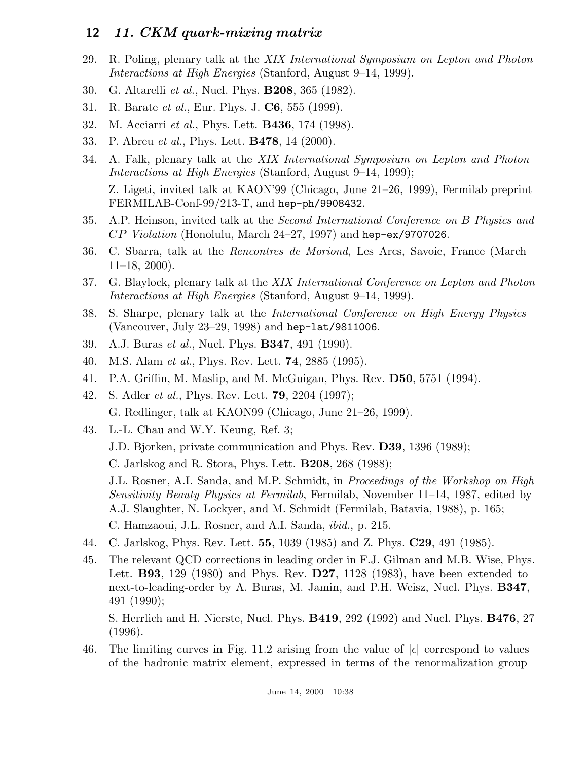- 29. R. Poling, plenary talk at the XIX International Symposium on Lepton and Photon Interactions at High Energies (Stanford, August 9–14, 1999).
- 30. G. Altarelli et al., Nucl. Phys. **B208**, 365 (1982).
- 31. R. Barate et al., Eur. Phys. J. **C6**, 555 (1999).
- 32. M. Acciarri et al., Phys. Lett. **B436**, 174 (1998).
- 33. P. Abreu et al., Phys. Lett. **B478**, 14 (2000).
- 34. A. Falk, plenary talk at the XIX International Symposium on Lepton and Photon Interactions at High Energies (Stanford, August 9–14, 1999);

Z. Ligeti, invited talk at KAON'99 (Chicago, June 21–26, 1999), Fermilab preprint FERMILAB-Conf-99/213-T, and hep-ph/9908432.

- 35. A.P. Heinson, invited talk at the Second International Conference on B Physics and CP Violation (Honolulu, March 24–27, 1997) and hep-ex/9707026.
- 36. C. Sbarra, talk at the Rencontres de Moriond, Les Arcs, Savoie, France (March  $11-18$ , 2000).
- 37. G. Blaylock, plenary talk at the XIX International Conference on Lepton and Photon Interactions at High Energies (Stanford, August 9–14, 1999).
- 38. S. Sharpe, plenary talk at the International Conference on High Energy Physics (Vancouver, July 23–29, 1998) and hep-lat/9811006.
- 39. A.J. Buras et al., Nucl. Phys. **B347**, 491 (1990).
- 40. M.S. Alam et al., Phys. Rev. Lett. **74**, 2885 (1995).
- 41. P.A. Griffin, M. Maslip, and M. McGuigan, Phys. Rev. **D50**, 5751 (1994).
- 42. S. Adler et al., Phys. Rev. Lett. **79**, 2204 (1997); G. Redlinger, talk at KAON99 (Chicago, June 21–26, 1999).
- 43. L.-L. Chau and W.Y. Keung, Ref. 3;
	- J.D. Bjorken, private communication and Phys. Rev. **D39**, 1396 (1989);

C. Jarlskog and R. Stora, Phys. Lett. **B208**, 268 (1988);

J.L. Rosner, A.I. Sanda, and M.P. Schmidt, in Proceedings of the Workshop on High Sensitivity Beauty Physics at Fermilab, Fermilab, November 11–14, 1987, edited by A.J. Slaughter, N. Lockyer, and M. Schmidt (Fermilab, Batavia, 1988), p. 165; C. Hamzaoui, J.L. Rosner, and A.I. Sanda, ibid., p. 215.

- 44. C. Jarlskog, Phys. Rev. Lett. **55**, 1039 (1985) and Z. Phys. **C29**, 491 (1985).
- 45. The relevant QCD corrections in leading order in F.J. Gilman and M.B. Wise, Phys. Lett. **B93**, 129 (1980) and Phys. Rev. **D27**, 1128 (1983), have been extended to next-to-leading-order by A. Buras, M. Jamin, and P.H. Weisz, Nucl. Phys. **B347**, 491 (1990);

S. Herrlich and H. Nierste, Nucl. Phys. **B419**, 292 (1992) and Nucl. Phys. **B476**, 27 (1996).

46. The limiting curves in Fig. 11.2 arising from the value of  $|\epsilon|$  correspond to values of the hadronic matrix element, expressed in terms of the renormalization group